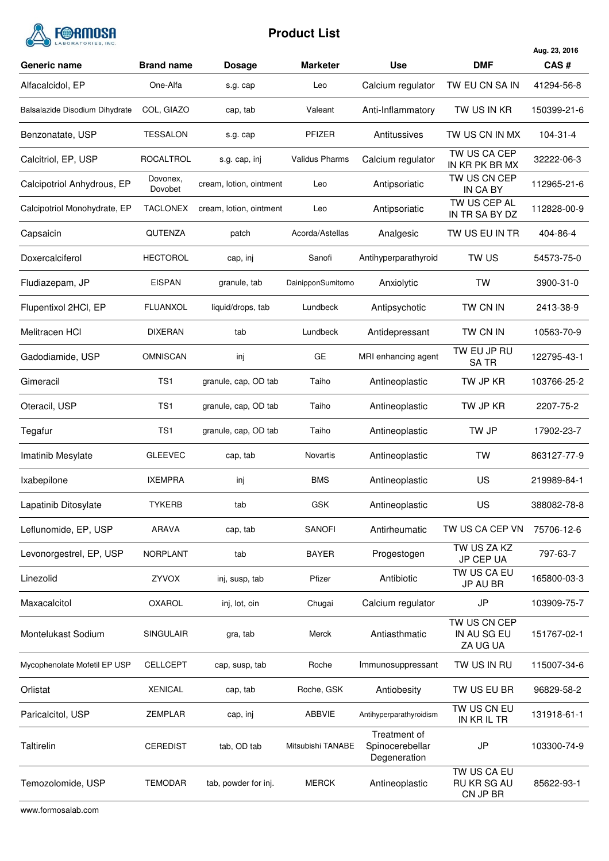

# **Product List**

|                                |                     |                         |                       |                                                 |                                         | Aug. 23, 2016 |
|--------------------------------|---------------------|-------------------------|-----------------------|-------------------------------------------------|-----------------------------------------|---------------|
| Generic name                   | <b>Brand name</b>   | <b>Dosage</b>           | <b>Marketer</b>       | <b>Use</b>                                      | <b>DMF</b>                              | CAS#          |
| Alfacalcidol, EP               | One-Alfa            | s.g. cap                | Leo                   | Calcium regulator                               | TW EU CN SA IN                          | 41294-56-8    |
| Balsalazide Disodium Dihydrate | COL, GIAZO          | cap, tab                | Valeant               | Anti-Inflammatory                               | TW US IN KR                             | 150399-21-6   |
| Benzonatate, USP               | TESSALON            | s.g. cap                | PFIZER                | Antitussives                                    | TW US CN IN MX                          | 104-31-4      |
| Calcitriol, EP, USP            | ROCALTROL           | s.g. cap, inj           | <b>Validus Pharms</b> | Calcium regulator                               | TW US CA CEP<br>IN KR PK BR MX          | 32222-06-3    |
| Calcipotriol Anhydrous, EP     | Dovonex,<br>Dovobet | cream, lotion, ointment | Leo                   | Antipsoriatic                                   | TW US CN CEP<br>IN CA BY                | 112965-21-6   |
| Calcipotriol Monohydrate, EP   | <b>TACLONEX</b>     | cream, lotion, ointment | Leo                   | Antipsoriatic                                   | TW US CEP AL<br>IN TR SA BY DZ          | 112828-00-9   |
| Capsaicin                      | QUTENZA             | patch                   | Acorda/Astellas       | Analgesic                                       | TW US EU IN TR                          | 404-86-4      |
| Doxercalciferol                | <b>HECTOROL</b>     | cap, inj                | Sanofi                | Antihyperparathyroid                            | TW US                                   | 54573-75-0    |
| Fludiazepam, JP                | <b>EISPAN</b>       | granule, tab            | DainipponSumitomo     | Anxiolytic                                      | <b>TW</b>                               | 3900-31-0     |
| Flupentixol 2HCl, EP           | <b>FLUANXOL</b>     | liquid/drops, tab       | Lundbeck              | Antipsychotic                                   | TW CN IN                                | 2413-38-9     |
| Melitracen HCI                 | <b>DIXERAN</b>      | tab                     | Lundbeck              | Antidepressant                                  | TW CN IN                                | 10563-70-9    |
| Gadodiamide, USP               | <b>OMNISCAN</b>     | inj                     | GE                    | MRI enhancing agent                             | TW EU JP RU<br><b>SATR</b>              | 122795-43-1   |
| Gimeracil                      | TS <sub>1</sub>     | granule, cap, OD tab    | Taiho                 | Antineoplastic                                  | TW JP KR                                | 103766-25-2   |
| Oteracil, USP                  | TS <sub>1</sub>     | granule, cap, OD tab    | Taiho                 | Antineoplastic                                  | TW JP KR                                | 2207-75-2     |
| Tegafur                        | TS <sub>1</sub>     | granule, cap, OD tab    | Taiho                 | Antineoplastic                                  | TW JP                                   | 17902-23-7    |
| Imatinib Mesylate              | <b>GLEEVEC</b>      | cap, tab                | Novartis              | Antineoplastic                                  | <b>TW</b>                               | 863127-77-9   |
| Ixabepilone                    | <b>IXEMPRA</b>      | inj                     | <b>BMS</b>            | Antineoplastic                                  | US                                      | 219989-84-1   |
| Lapatinib Ditosylate           | <b>TYKERB</b>       | tab                     | GSK                   | Antineoplastic                                  | US                                      | 388082-78-8   |
| Leflunomide, EP, USP           | <b>ARAVA</b>        | cap, tab                | <b>SANOFI</b>         | Antirheumatic                                   | TW US CA CEP VN                         | 75706-12-6    |
| Levonorgestrel, EP, USP        | <b>NORPLANT</b>     | tab                     | <b>BAYER</b>          | Progestogen                                     | TW US ZA KZ<br>JP CEP UA                | 797-63-7      |
| Linezolid                      | ZYVOX               | inj, susp, tab          | Pfizer                | Antibiotic                                      | TW US CA EU<br>JP AU BR                 | 165800-03-3   |
| Maxacalcitol                   | <b>OXAROL</b>       | inj, lot, oin           | Chugai                | Calcium regulator                               | JP                                      | 103909-75-7   |
| Montelukast Sodium             | <b>SINGULAIR</b>    | gra, tab                | Merck                 | Antiasthmatic                                   | TW US CN CEP<br>IN AU SG EU<br>ZA UG UA | 151767-02-1   |
| Mycophenolate Mofetil EP USP   | <b>CELLCEPT</b>     | cap, susp, tab          | Roche                 | Immunosuppressant                               | TW US IN RU                             | 115007-34-6   |
| Orlistat                       | <b>XENICAL</b>      | cap, tab                | Roche, GSK            | Antiobesity                                     | TW US EU BR                             | 96829-58-2    |
| Paricalcitol, USP              | <b>ZEMPLAR</b>      | cap, inj                | ABBVIE                | Antihyperparathyroidism                         | TW US CN EU<br>IN KR IL TR              | 131918-61-1   |
| Taltirelin                     | <b>CEREDIST</b>     | tab, OD tab             | Mitsubishi TANABE     | Treatment of<br>Spinocerebellar<br>Degeneration | JP                                      | 103300-74-9   |
| Temozolomide, USP              | <b>TEMODAR</b>      | tab, powder for inj.    | <b>MERCK</b>          | Antineoplastic                                  | TW US CA EU<br>RU KR SG AU<br>CN JP BR  | 85622-93-1    |

www.formosalab.com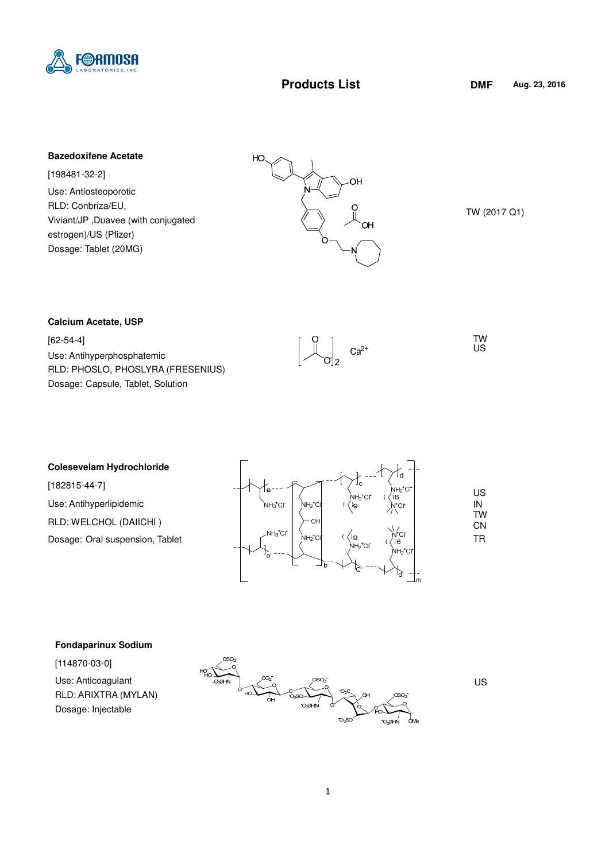

# **Products List DMF**

### **Bazedoxifene Acetate**

[198481-32-2] Use: Antiosteoporotic RLD: Conbriza/EU, Viviant/JP ,Duavee (with conjugated estrogen)/US (Pfizer) Dosage: Tablet (20MG)



TW (2017 Q1)

#### **Calcium Acetate, USP**

[62-54-4] Use: Antihyperphosphatemic RLD: PHOSLO, PHOSLYRA (FRESENIUS) Dosage: Capsule, Tablet, Solution



 TW US

### **Colesevelam Hydrochloride**

[182815-44-7] Use: Antihyperlipidemic RLD: WELCHOL (DAIICHI ) Dosage: Oral suspension, Tablet



### **Fondaparinux Sodium**

[114870-03-0]

Use: Anticoagulant RLD: ARIXTRA (MYLAN) Dosage: Injectable



US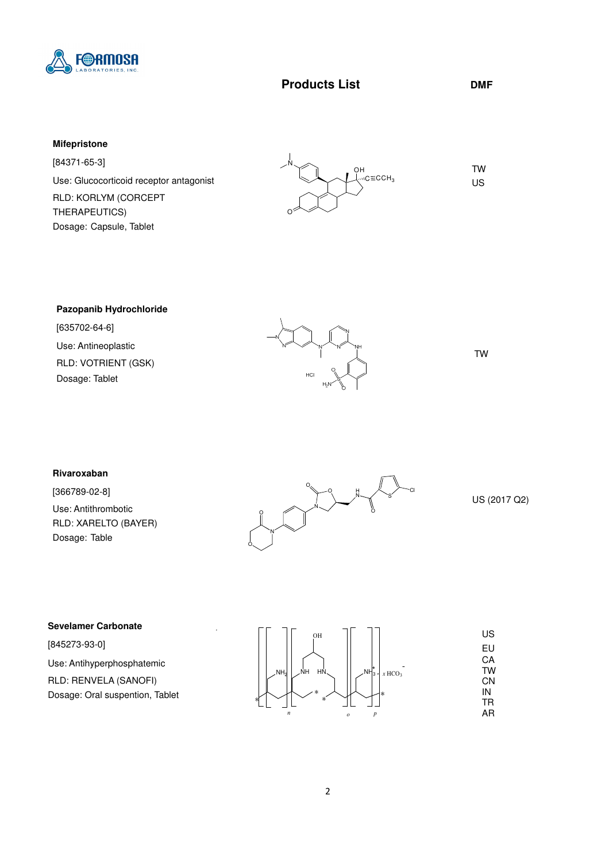

## **Products List DMF**

## **Mifepristone**

[84371-65-3] Use: Glucocorticoid receptor antagonist RLD: KORLYM (CORCEPT THERAPEUTICS) Dosage: Capsule, Tablet



### **Pazopanib Hydrochloride**

[635702-64-6] Use: Antineoplastic RLD: VOTRIENT (GSK) Dosage: Tablet



TW

### **Rivaroxaban**

[366789-02-8] Use: Antithrombotic RLD: XARELTO (BAYER) Dosage: Table



US (2017 Q2)

#### **Sevelamer Carbonate**

[845273-93-0] Use: Antihyperphosphatemic RLD: RENVELA (SANOFI) Dosage: Oral suspention, Tablet

| OH                                                                        | US        |
|---------------------------------------------------------------------------|-----------|
|                                                                           | EU        |
|                                                                           | CA        |
| ŀ÷<br>ŃΗ<br>HŃ<br>NH <sub>3</sub><br>NH <sub>2</sub><br>$x \text{ HCO}_3$ | <b>TW</b> |
|                                                                           | CN        |
| ж<br>$\ast$                                                               | IN        |
| $\ast$<br>∗                                                               | TR        |
| $\boldsymbol{n}$<br>$\boldsymbol{p}$<br>$\boldsymbol{o}$                  | AR        |